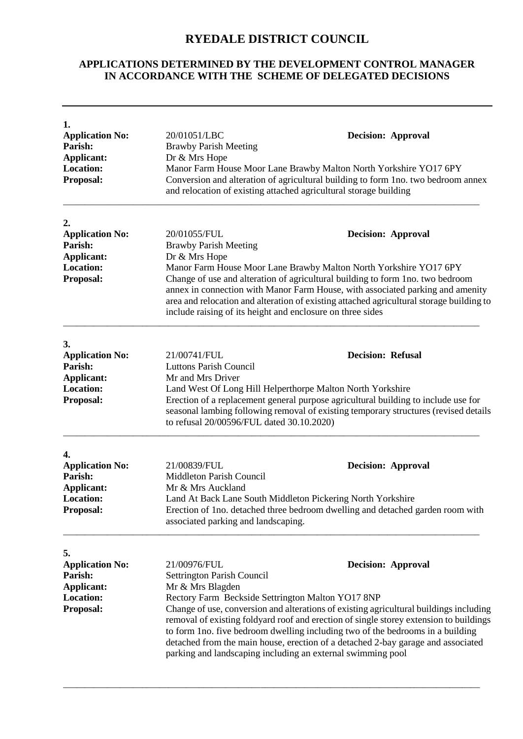## **RYEDALE DISTRICT COUNCIL**

## **APPLICATIONS DETERMINED BY THE DEVELOPMENT CONTROL MANAGER IN ACCORDANCE WITH THE SCHEME OF DELEGATED DECISIONS**

| 1.<br><b>Application No:</b><br>Parish:<br><b>Applicant:</b><br><b>Location:</b><br>Proposal: | 20/01051/LBC<br><b>Decision: Approval</b><br><b>Brawby Parish Meeting</b><br>Dr & Mrs Hope<br>Manor Farm House Moor Lane Brawby Malton North Yorkshire YO17 6PY<br>Conversion and alteration of agricultural building to form 1no. two bedroom annex<br>and relocation of existing attached agricultural storage building                                                                                                                                                                                                                                                 |  |
|-----------------------------------------------------------------------------------------------|---------------------------------------------------------------------------------------------------------------------------------------------------------------------------------------------------------------------------------------------------------------------------------------------------------------------------------------------------------------------------------------------------------------------------------------------------------------------------------------------------------------------------------------------------------------------------|--|
| 2.<br><b>Application No:</b><br>Parish:<br><b>Applicant:</b><br><b>Location:</b><br>Proposal: | 20/01055/FUL<br><b>Decision: Approval</b><br><b>Brawby Parish Meeting</b><br>Dr & Mrs Hope<br>Manor Farm House Moor Lane Brawby Malton North Yorkshire YO17 6PY<br>Change of use and alteration of agricultural building to form 1no. two bedroom<br>annex in connection with Manor Farm House, with associated parking and amenity<br>area and relocation and alteration of existing attached agricultural storage building to<br>include raising of its height and enclosure on three sides                                                                             |  |
| 3.<br><b>Application No:</b><br>Parish:<br><b>Applicant:</b><br><b>Location:</b><br>Proposal: | 21/00741/FUL<br><b>Decision: Refusal</b><br><b>Luttons Parish Council</b><br>Mr and Mrs Driver<br>Land West Of Long Hill Helperthorpe Malton North Yorkshire<br>Erection of a replacement general purpose agricultural building to include use for<br>seasonal lambing following removal of existing temporary structures (revised details<br>to refusal 20/00596/FUL dated 30.10.2020)                                                                                                                                                                                   |  |
| 4.<br><b>Application No:</b><br>Parish:<br><b>Applicant:</b><br><b>Location:</b><br>Proposal: | 21/00839/FUL<br><b>Decision: Approval</b><br>Middleton Parish Council<br>Mr & Mrs Auckland<br>Land At Back Lane South Middleton Pickering North Yorkshire<br>Erection of 1no. detached three bedroom dwelling and detached garden room with<br>associated parking and landscaping.                                                                                                                                                                                                                                                                                        |  |
| 5.<br><b>Application No:</b><br>Parish:<br><b>Applicant:</b><br><b>Location:</b><br>Proposal: | 21/00976/FUL<br><b>Decision: Approval</b><br>Settrington Parish Council<br>Mr & Mrs Blagden<br>Rectory Farm Beckside Settrington Malton YO17 8NP<br>Change of use, conversion and alterations of existing agricultural buildings including<br>removal of existing foldyard roof and erection of single storey extension to buildings<br>to form 1no. five bedroom dwelling including two of the bedrooms in a building<br>detached from the main house, erection of a detached 2-bay garage and associated<br>parking and landscaping including an external swimming pool |  |

\_\_\_\_\_\_\_\_\_\_\_\_\_\_\_\_\_\_\_\_\_\_\_\_\_\_\_\_\_\_\_\_\_\_\_\_\_\_\_\_\_\_\_\_\_\_\_\_\_\_\_\_\_\_\_\_\_\_\_\_\_\_\_\_\_\_\_\_\_\_\_\_\_\_\_\_\_\_\_\_\_\_\_\_\_\_\_\_\_\_\_\_\_\_\_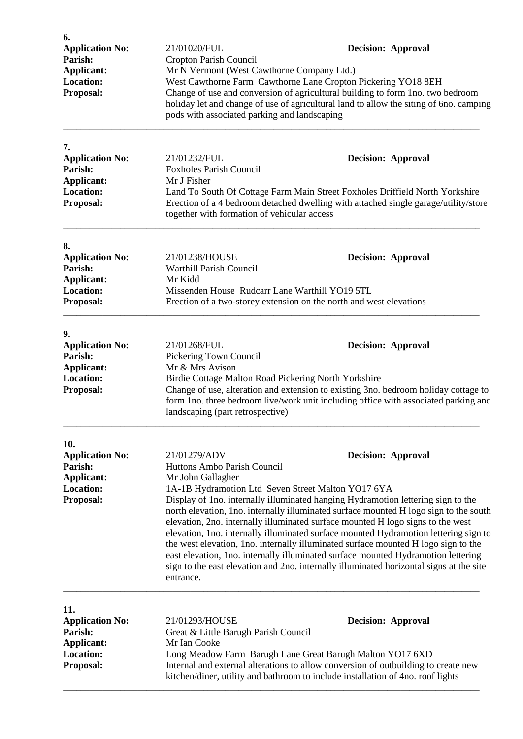| 6.<br><b>Application No:</b>                                                            | 21/01020/FUL                                                                                                                                                                                                                                                                                                                                                                                                                                                                                                                                                                                                                                                                                  | <b>Decision: Approval</b> |
|-----------------------------------------------------------------------------------------|-----------------------------------------------------------------------------------------------------------------------------------------------------------------------------------------------------------------------------------------------------------------------------------------------------------------------------------------------------------------------------------------------------------------------------------------------------------------------------------------------------------------------------------------------------------------------------------------------------------------------------------------------------------------------------------------------|---------------------------|
| Parish:                                                                                 | Cropton Parish Council                                                                                                                                                                                                                                                                                                                                                                                                                                                                                                                                                                                                                                                                        |                           |
| <b>Applicant:</b>                                                                       | Mr N Vermont (West Cawthorne Company Ltd.)<br>West Cawthorne Farm Cawthorne Lane Cropton Pickering YO18 8EH<br>Change of use and conversion of agricultural building to form 1no. two bedroom<br>holiday let and change of use of agricultural land to allow the siting of 6no. camping<br>pods with associated parking and landscaping                                                                                                                                                                                                                                                                                                                                                       |                           |
| <b>Location:</b><br>Proposal:                                                           |                                                                                                                                                                                                                                                                                                                                                                                                                                                                                                                                                                                                                                                                                               |                           |
| 7.                                                                                      |                                                                                                                                                                                                                                                                                                                                                                                                                                                                                                                                                                                                                                                                                               |                           |
| <b>Application No:</b><br>Parish:                                                       | 21/01232/FUL<br><b>Foxholes Parish Council</b>                                                                                                                                                                                                                                                                                                                                                                                                                                                                                                                                                                                                                                                | <b>Decision: Approval</b> |
| <b>Applicant:</b><br><b>Location:</b><br>Proposal:                                      | Mr J Fisher<br>Land To South Of Cottage Farm Main Street Foxholes Driffield North Yorkshire<br>Erection of a 4 bedroom detached dwelling with attached single garage/utility/store<br>together with formation of vehicular access                                                                                                                                                                                                                                                                                                                                                                                                                                                             |                           |
| 8.                                                                                      |                                                                                                                                                                                                                                                                                                                                                                                                                                                                                                                                                                                                                                                                                               |                           |
| <b>Application No:</b><br>Parish:<br><b>Applicant:</b>                                  | 21/01238/HOUSE<br>Warthill Parish Council<br>Mr Kidd                                                                                                                                                                                                                                                                                                                                                                                                                                                                                                                                                                                                                                          | <b>Decision: Approval</b> |
| <b>Location:</b><br>Proposal:                                                           | Missenden House Rudcarr Lane Warthill YO19 5TL<br>Erection of a two-storey extension on the north and west elevations                                                                                                                                                                                                                                                                                                                                                                                                                                                                                                                                                                         |                           |
| 9.                                                                                      |                                                                                                                                                                                                                                                                                                                                                                                                                                                                                                                                                                                                                                                                                               |                           |
| <b>Application No:</b><br>Parish:<br><b>Applicant:</b><br><b>Location:</b><br>Proposal: | 21/01268/FUL<br><b>Decision: Approval</b><br>Pickering Town Council<br>Mr & Mrs Avison<br>Birdie Cottage Malton Road Pickering North Yorkshire<br>Change of use, alteration and extension to existing 3no. bedroom holiday cottage to<br>form 1no. three bedroom live/work unit including office with associated parking and<br>landscaping (part retrospective)                                                                                                                                                                                                                                                                                                                              |                           |
| 10.<br><b>Application No:</b>                                                           | 21/01279/ADV                                                                                                                                                                                                                                                                                                                                                                                                                                                                                                                                                                                                                                                                                  | <b>Decision: Approval</b> |
| Parish:<br><b>Applicant:</b>                                                            | Huttons Ambo Parish Council<br>Mr John Gallagher                                                                                                                                                                                                                                                                                                                                                                                                                                                                                                                                                                                                                                              |                           |
| <b>Location:</b><br>Proposal:                                                           | 1A-1B Hydramotion Ltd Seven Street Malton YO17 6YA<br>Display of 1no. internally illuminated hanging Hydramotion lettering sign to the<br>north elevation, 1no. internally illuminated surface mounted H logo sign to the south<br>elevation, 2no. internally illuminated surface mounted H logo signs to the west<br>elevation, 1no. internally illuminated surface mounted Hydramotion lettering sign to<br>the west elevation, 1no. internally illuminated surface mounted H logo sign to the<br>east elevation, 1no. internally illuminated surface mounted Hydramotion lettering<br>sign to the east elevation and 2no. internally illuminated horizontal signs at the site<br>entrance. |                           |
| 11.<br><b>Application No:</b>                                                           | 21/01293/HOUSE                                                                                                                                                                                                                                                                                                                                                                                                                                                                                                                                                                                                                                                                                | <b>Decision: Approval</b> |
| Parish:<br><b>Applicant:</b>                                                            | Great & Little Barugh Parish Council<br>Mr Ian Cooke                                                                                                                                                                                                                                                                                                                                                                                                                                                                                                                                                                                                                                          |                           |
| <b>Location:</b><br>Proposal:                                                           | Long Meadow Farm Barugh Lane Great Barugh Malton YO17 6XD<br>Internal and external alterations to allow conversion of outbuilding to create new<br>kitchen/diner, utility and bathroom to include installation of 4no. roof lights                                                                                                                                                                                                                                                                                                                                                                                                                                                            |                           |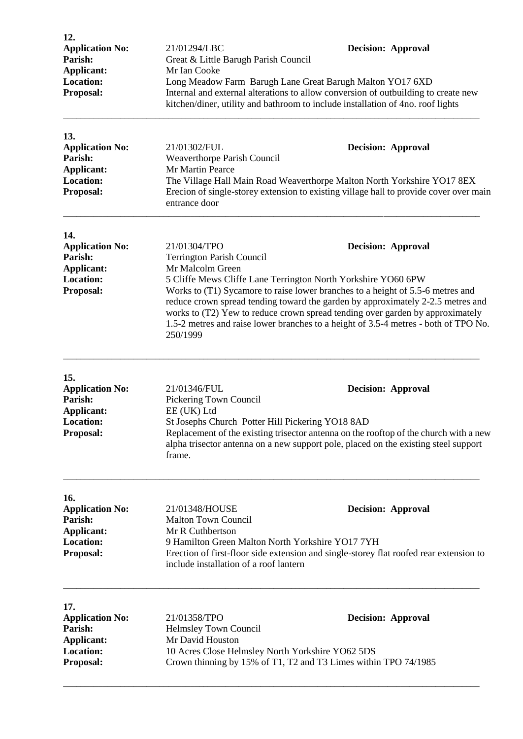| 12.<br><b>Application No:</b><br>Parish:<br>Applicant:<br><b>Location:</b><br>Proposal:        | 21/01294/LBC<br>Great & Little Barugh Parish Council<br>Mr Ian Cooke<br>Long Meadow Farm Barugh Lane Great Barugh Malton YO17 6XD<br>kitchen/diner, utility and bathroom to include installation of 4no. roof lights | <b>Decision: Approval</b><br>Internal and external alterations to allow conversion of outbuilding to create new                                                                                                                                                                                                                                                        |
|------------------------------------------------------------------------------------------------|----------------------------------------------------------------------------------------------------------------------------------------------------------------------------------------------------------------------|------------------------------------------------------------------------------------------------------------------------------------------------------------------------------------------------------------------------------------------------------------------------------------------------------------------------------------------------------------------------|
| 13.<br><b>Application No:</b><br>Parish:<br><b>Applicant:</b><br><b>Location:</b><br>Proposal: | 21/01302/FUL<br>Weaverthorpe Parish Council<br>Mr Martin Pearce<br>entrance door                                                                                                                                     | <b>Decision: Approval</b><br>The Village Hall Main Road Weaverthorpe Malton North Yorkshire YO17 8EX<br>Erecion of single-storey extension to existing village hall to provide cover over main                                                                                                                                                                         |
| 14.<br><b>Application No:</b><br>Parish:<br><b>Applicant:</b><br><b>Location:</b><br>Proposal: | 21/01304/TPO<br><b>Terrington Parish Council</b><br>Mr Malcolm Green<br>5 Cliffe Mews Cliffe Lane Terrington North Yorkshire YO60 6PW<br>250/1999                                                                    | <b>Decision: Approval</b><br>Works to (T1) Sycamore to raise lower branches to a height of 5.5-6 metres and<br>reduce crown spread tending toward the garden by approximately 2-2.5 metres and<br>works to (T2) Yew to reduce crown spread tending over garden by approximately<br>1.5-2 metres and raise lower branches to a height of 3.5-4 metres - both of TPO No. |
| 15.<br><b>Application No:</b><br>Parish:<br>Applicant:<br>Location:<br>Proposal:               | 21/01346/FUL<br>Pickering Town Council<br>EE (UK) Ltd<br>St Josephs Church Potter Hill Pickering YO18 8AD<br>frame.                                                                                                  | <b>Decision: Approval</b><br>Replacement of the existing trisector antenna on the rooftop of the church with a new<br>alpha trisector antenna on a new support pole, placed on the existing steel support                                                                                                                                                              |
| 16.<br><b>Application No:</b><br>Parish:<br>Applicant:<br><b>Location:</b><br>Proposal:        | 21/01348/HOUSE<br><b>Malton Town Council</b><br>Mr R Cuthbertson<br>9 Hamilton Green Malton North Yorkshire YO17 7YH<br>include installation of a roof lantern                                                       | <b>Decision: Approval</b><br>Erection of first-floor side extension and single-storey flat roofed rear extension to                                                                                                                                                                                                                                                    |
| 17.<br><b>Application No:</b><br>Parish:<br><b>Applicant:</b><br><b>Location:</b><br>Proposal: | 21/01358/TPO<br>Helmsley Town Council<br>Mr David Houston<br>10 Acres Close Helmsley North Yorkshire YO62 5DS<br>Crown thinning by 15% of T1, T2 and T3 Limes within TPO 74/1985                                     | <b>Decision: Approval</b>                                                                                                                                                                                                                                                                                                                                              |

\_\_\_\_\_\_\_\_\_\_\_\_\_\_\_\_\_\_\_\_\_\_\_\_\_\_\_\_\_\_\_\_\_\_\_\_\_\_\_\_\_\_\_\_\_\_\_\_\_\_\_\_\_\_\_\_\_\_\_\_\_\_\_\_\_\_\_\_\_\_\_\_\_\_\_\_\_\_\_\_\_\_\_\_\_\_\_\_\_\_\_\_\_\_\_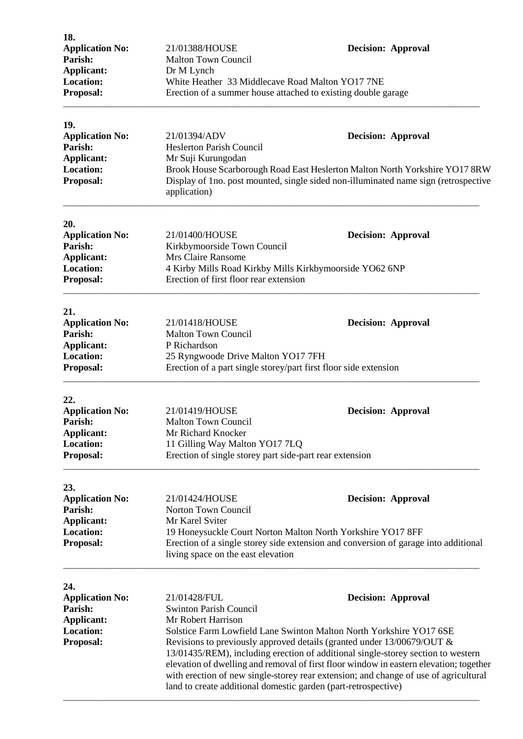| 21/01388/HOUSE                                                                                                                                                                                                                                                                                                                       | <b>Decision: Approval</b>                                                                                                                                                                                                                                                                                                                                                                                          |
|--------------------------------------------------------------------------------------------------------------------------------------------------------------------------------------------------------------------------------------------------------------------------------------------------------------------------------------|--------------------------------------------------------------------------------------------------------------------------------------------------------------------------------------------------------------------------------------------------------------------------------------------------------------------------------------------------------------------------------------------------------------------|
|                                                                                                                                                                                                                                                                                                                                      |                                                                                                                                                                                                                                                                                                                                                                                                                    |
| Dr M Lynch                                                                                                                                                                                                                                                                                                                           |                                                                                                                                                                                                                                                                                                                                                                                                                    |
| White Heather 33 Middlecave Road Malton YO17 7NE                                                                                                                                                                                                                                                                                     |                                                                                                                                                                                                                                                                                                                                                                                                                    |
| Erection of a summer house attached to existing double garage                                                                                                                                                                                                                                                                        |                                                                                                                                                                                                                                                                                                                                                                                                                    |
|                                                                                                                                                                                                                                                                                                                                      |                                                                                                                                                                                                                                                                                                                                                                                                                    |
| 21/01394/ADV                                                                                                                                                                                                                                                                                                                         | <b>Decision: Approval</b>                                                                                                                                                                                                                                                                                                                                                                                          |
| <b>Heslerton Parish Council</b>                                                                                                                                                                                                                                                                                                      |                                                                                                                                                                                                                                                                                                                                                                                                                    |
| Mr Suji Kurungodan                                                                                                                                                                                                                                                                                                                   |                                                                                                                                                                                                                                                                                                                                                                                                                    |
|                                                                                                                                                                                                                                                                                                                                      | Brook House Scarborough Road East Heslerton Malton North Yorkshire YO17 8RW                                                                                                                                                                                                                                                                                                                                        |
| application)                                                                                                                                                                                                                                                                                                                         | Display of 1 no. post mounted, single sided non-illuminated name sign (retrospective                                                                                                                                                                                                                                                                                                                               |
|                                                                                                                                                                                                                                                                                                                                      |                                                                                                                                                                                                                                                                                                                                                                                                                    |
| 21/01400/HOUSE                                                                                                                                                                                                                                                                                                                       | <b>Decision: Approval</b>                                                                                                                                                                                                                                                                                                                                                                                          |
|                                                                                                                                                                                                                                                                                                                                      |                                                                                                                                                                                                                                                                                                                                                                                                                    |
| Mrs Claire Ransome                                                                                                                                                                                                                                                                                                                   |                                                                                                                                                                                                                                                                                                                                                                                                                    |
|                                                                                                                                                                                                                                                                                                                                      |                                                                                                                                                                                                                                                                                                                                                                                                                    |
|                                                                                                                                                                                                                                                                                                                                      |                                                                                                                                                                                                                                                                                                                                                                                                                    |
|                                                                                                                                                                                                                                                                                                                                      |                                                                                                                                                                                                                                                                                                                                                                                                                    |
|                                                                                                                                                                                                                                                                                                                                      | <b>Decision: Approval</b>                                                                                                                                                                                                                                                                                                                                                                                          |
|                                                                                                                                                                                                                                                                                                                                      |                                                                                                                                                                                                                                                                                                                                                                                                                    |
|                                                                                                                                                                                                                                                                                                                                      |                                                                                                                                                                                                                                                                                                                                                                                                                    |
|                                                                                                                                                                                                                                                                                                                                      |                                                                                                                                                                                                                                                                                                                                                                                                                    |
| Erection of a part single storey/part first floor side extension                                                                                                                                                                                                                                                                     |                                                                                                                                                                                                                                                                                                                                                                                                                    |
|                                                                                                                                                                                                                                                                                                                                      |                                                                                                                                                                                                                                                                                                                                                                                                                    |
|                                                                                                                                                                                                                                                                                                                                      |                                                                                                                                                                                                                                                                                                                                                                                                                    |
|                                                                                                                                                                                                                                                                                                                                      | <b>Decision: Approval</b>                                                                                                                                                                                                                                                                                                                                                                                          |
|                                                                                                                                                                                                                                                                                                                                      |                                                                                                                                                                                                                                                                                                                                                                                                                    |
|                                                                                                                                                                                                                                                                                                                                      |                                                                                                                                                                                                                                                                                                                                                                                                                    |
|                                                                                                                                                                                                                                                                                                                                      |                                                                                                                                                                                                                                                                                                                                                                                                                    |
| Erection of single storey part side-part rear extension                                                                                                                                                                                                                                                                              |                                                                                                                                                                                                                                                                                                                                                                                                                    |
|                                                                                                                                                                                                                                                                                                                                      |                                                                                                                                                                                                                                                                                                                                                                                                                    |
| 21/01424/HOUSE                                                                                                                                                                                                                                                                                                                       | <b>Decision: Approval</b>                                                                                                                                                                                                                                                                                                                                                                                          |
| Norton Town Council                                                                                                                                                                                                                                                                                                                  |                                                                                                                                                                                                                                                                                                                                                                                                                    |
| Mr Karel Sviter                                                                                                                                                                                                                                                                                                                      |                                                                                                                                                                                                                                                                                                                                                                                                                    |
|                                                                                                                                                                                                                                                                                                                                      | 19 Honeysuckle Court Norton Malton North Yorkshire YO17 8FF                                                                                                                                                                                                                                                                                                                                                        |
|                                                                                                                                                                                                                                                                                                                                      | Erection of a single storey side extension and conversion of garage into additional                                                                                                                                                                                                                                                                                                                                |
|                                                                                                                                                                                                                                                                                                                                      |                                                                                                                                                                                                                                                                                                                                                                                                                    |
| 21/01428/FUL                                                                                                                                                                                                                                                                                                                         | <b>Decision: Approval</b>                                                                                                                                                                                                                                                                                                                                                                                          |
| <b>Swinton Parish Council</b>                                                                                                                                                                                                                                                                                                        |                                                                                                                                                                                                                                                                                                                                                                                                                    |
| Mr Robert Harrison                                                                                                                                                                                                                                                                                                                   |                                                                                                                                                                                                                                                                                                                                                                                                                    |
|                                                                                                                                                                                                                                                                                                                                      | Solstice Farm Lowfield Lane Swinton Malton North Yorkshire YO17 6SE                                                                                                                                                                                                                                                                                                                                                |
|                                                                                                                                                                                                                                                                                                                                      | Revisions to previously approved details (granted under 13/00679/OUT &                                                                                                                                                                                                                                                                                                                                             |
|                                                                                                                                                                                                                                                                                                                                      |                                                                                                                                                                                                                                                                                                                                                                                                                    |
| 13/01435/REM), including erection of additional single-storey section to western<br>elevation of dwelling and removal of first floor window in eastern elevation; together<br>with erection of new single-storey rear extension; and change of use of agricultural<br>land to create additional domestic garden (part-retrospective) |                                                                                                                                                                                                                                                                                                                                                                                                                    |
|                                                                                                                                                                                                                                                                                                                                      | <b>Malton Town Council</b><br>Kirkbymoorside Town Council<br>4 Kirby Mills Road Kirkby Mills Kirkbymoorside YO62 6NP<br>Erection of first floor rear extension<br>21/01418/HOUSE<br><b>Malton Town Council</b><br>P Richardson<br>25 Ryngwoode Drive Malton YO17 7FH<br>21/01419/HOUSE<br><b>Malton Town Council</b><br>Mr Richard Knocker<br>11 Gilling Way Malton YO17 7LQ<br>living space on the east elevation |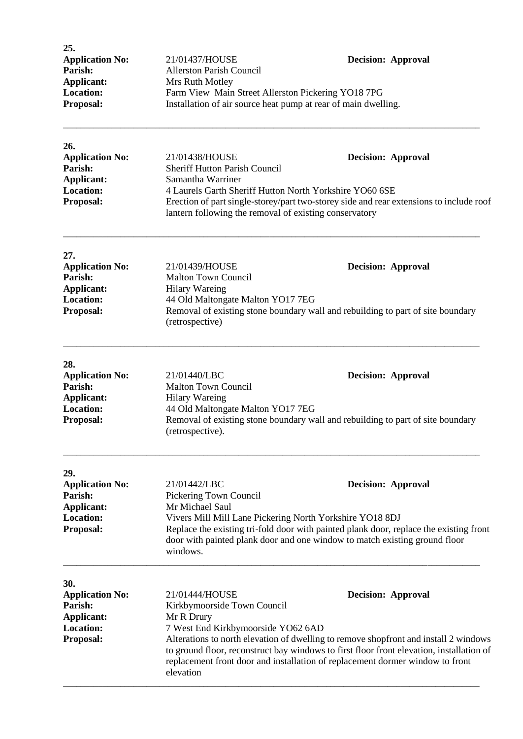| 25.                    |                                                                |                           |
|------------------------|----------------------------------------------------------------|---------------------------|
| <b>Application No:</b> | 21/01437/HOUSE                                                 | <b>Decision: Approval</b> |
| Parish:                | <b>Allerston Parish Council</b>                                |                           |
| Applicant:             | Mrs Ruth Motley                                                |                           |
| Location:              | Farm View Main Street Allerston Pickering YO18 7PG             |                           |
| <b>Proposal:</b>       | Installation of air source heat pump at rear of main dwelling. |                           |
|                        |                                                                |                           |

\_\_\_\_\_\_\_\_\_\_\_\_\_\_\_\_\_\_\_\_\_\_\_\_\_\_\_\_\_\_\_\_\_\_\_\_\_\_\_\_\_\_\_\_\_\_\_\_\_\_\_\_\_\_\_\_\_\_\_\_\_\_\_\_\_\_\_\_\_\_\_\_\_\_\_\_\_\_\_\_\_\_\_\_\_\_\_\_\_\_\_\_\_\_\_

| 26.                    |                                                                                                                                                   |                           |
|------------------------|---------------------------------------------------------------------------------------------------------------------------------------------------|---------------------------|
| <b>Application No:</b> | 21/01438/HOUSE                                                                                                                                    | <b>Decision: Approval</b> |
| Parish:                | <b>Sheriff Hutton Parish Council</b>                                                                                                              |                           |
| Applicant:             | Samantha Warriner                                                                                                                                 |                           |
| <b>Location:</b>       | 4 Laurels Garth Sheriff Hutton North Yorkshire YO60 6SE                                                                                           |                           |
| <b>Proposal:</b>       | Erection of part single-storey/part two-storey side and rear extensions to include roof<br>lantern following the removal of existing conservatory |                           |

| 27.                    |                                   |                                                                                 |
|------------------------|-----------------------------------|---------------------------------------------------------------------------------|
| <b>Application No:</b> | 21/01439/HOUSE                    | <b>Decision: Approval</b>                                                       |
| Parish:                | <b>Malton Town Council</b>        |                                                                                 |
| Applicant:             | Hilary Wareing                    |                                                                                 |
| <b>Location:</b>       | 44 Old Maltongate Malton YO17 7EG |                                                                                 |
| <b>Proposal:</b>       | (retrospective)                   | Removal of existing stone boundary wall and rebuilding to part of site boundary |

\_\_\_\_\_\_\_\_\_\_\_\_\_\_\_\_\_\_\_\_\_\_\_\_\_\_\_\_\_\_\_\_\_\_\_\_\_\_\_\_\_\_\_\_\_\_\_\_\_\_\_\_\_\_\_\_\_\_\_\_\_\_\_\_\_\_\_\_\_\_\_\_\_\_\_\_\_\_\_\_\_\_\_\_\_\_\_\_\_\_\_\_\_\_\_

| 28.                    |                                   |                                                                                 |
|------------------------|-----------------------------------|---------------------------------------------------------------------------------|
| <b>Application No:</b> | 21/01440/LBC                      | <b>Decision: Approval</b>                                                       |
| Parish:                | <b>Malton Town Council</b>        |                                                                                 |
| Applicant:             | <b>Hilary Wareing</b>             |                                                                                 |
| <b>Location:</b>       | 44 Old Maltongate Malton YO17 7EG |                                                                                 |
| <b>Proposal:</b>       |                                   | Removal of existing stone boundary wall and rebuilding to part of site boundary |
|                        | (retrospective).                  |                                                                                 |

\_\_\_\_\_\_\_\_\_\_\_\_\_\_\_\_\_\_\_\_\_\_\_\_\_\_\_\_\_\_\_\_\_\_\_\_\_\_\_\_\_\_\_\_\_\_\_\_\_\_\_\_\_\_\_\_\_\_\_\_\_\_\_\_\_\_\_\_\_\_\_\_\_\_\_\_\_\_\_\_\_\_\_\_\_\_\_\_\_\_\_\_\_\_\_

\_\_\_\_\_\_\_\_\_\_\_\_\_\_\_\_\_\_\_\_\_\_\_\_\_\_\_\_\_\_\_\_\_\_\_\_\_\_\_\_\_\_\_\_\_\_\_\_\_\_\_\_\_\_\_\_\_\_\_\_\_\_\_\_\_\_\_\_\_\_\_\_\_\_\_\_\_\_\_\_\_\_\_\_\_\_\_\_\_\_\_\_\_\_\_

| 29.                                                                          |                                                                                                                                                                                                                                                                                |                           |  |
|------------------------------------------------------------------------------|--------------------------------------------------------------------------------------------------------------------------------------------------------------------------------------------------------------------------------------------------------------------------------|---------------------------|--|
| <b>Application No:</b>                                                       | 21/01442/LBC                                                                                                                                                                                                                                                                   | <b>Decision: Approval</b> |  |
| Parish:                                                                      | Pickering Town Council                                                                                                                                                                                                                                                         |                           |  |
| Applicant:                                                                   | Mr Michael Saul                                                                                                                                                                                                                                                                |                           |  |
| <b>Location:</b><br>Vivers Mill Mill Lane Pickering North Yorkshire YO18 8DJ |                                                                                                                                                                                                                                                                                |                           |  |
| <b>Proposal:</b>                                                             | Replace the existing tri-fold door with painted plank door, replace the existing front<br>door with painted plank door and one window to match existing ground floor<br>windows.                                                                                               |                           |  |
| 30.<br><b>Application No:</b>                                                | 21/01444/HOUSE                                                                                                                                                                                                                                                                 | <b>Decision: Approval</b> |  |
| Parish:                                                                      | Kirkbymoorside Town Council                                                                                                                                                                                                                                                    |                           |  |
| Applicant:                                                                   | Mr R Drury                                                                                                                                                                                                                                                                     |                           |  |
| <b>Location:</b>                                                             | 7 West End Kirkbymoorside YO62 6AD                                                                                                                                                                                                                                             |                           |  |
| <b>Proposal:</b>                                                             | Alterations to north elevation of dwelling to remove shopfront and install 2 windows<br>to ground floor, reconstruct bay windows to first floor front elevation, installation of<br>replacement front door and installation of replacement dormer window to front<br>elevation |                           |  |

\_\_\_\_\_\_\_\_\_\_\_\_\_\_\_\_\_\_\_\_\_\_\_\_\_\_\_\_\_\_\_\_\_\_\_\_\_\_\_\_\_\_\_\_\_\_\_\_\_\_\_\_\_\_\_\_\_\_\_\_\_\_\_\_\_\_\_\_\_\_\_\_\_\_\_\_\_\_\_\_\_\_\_\_\_\_\_\_\_\_\_\_\_\_\_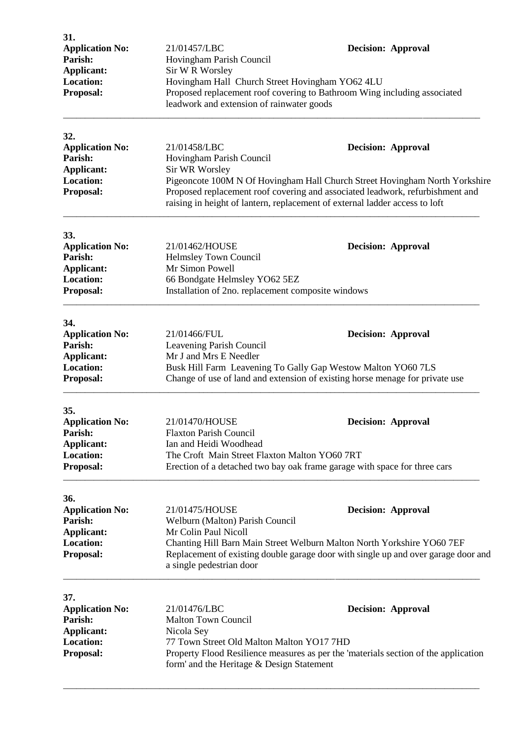| 31.<br><b>Application No:</b><br>Parish:<br><b>Applicant:</b><br><b>Location:</b><br>Proposal: | 21/01457/LBC<br>Hovingham Parish Council<br>Sir W R Worsley<br>Hovingham Hall Church Street Hovingham YO62 4LU<br>leadwork and extension of rainwater goods | <b>Decision: Approval</b><br>Proposed replacement roof covering to Bathroom Wing including associated                                                                                                                                                                    |
|------------------------------------------------------------------------------------------------|-------------------------------------------------------------------------------------------------------------------------------------------------------------|--------------------------------------------------------------------------------------------------------------------------------------------------------------------------------------------------------------------------------------------------------------------------|
| 32.<br><b>Application No:</b><br>Parish:<br><b>Applicant:</b><br><b>Location:</b><br>Proposal: | 21/01458/LBC<br>Hovingham Parish Council<br>Sir WR Worsley                                                                                                  | <b>Decision: Approval</b><br>Pigeoncote 100M N Of Hovingham Hall Church Street Hovingham North Yorkshire<br>Proposed replacement roof covering and associated leadwork, refurbishment and<br>raising in height of lantern, replacement of external ladder access to loft |
| 33.<br><b>Application No:</b><br>Parish:<br><b>Applicant:</b><br><b>Location:</b><br>Proposal: | 21/01462/HOUSE<br>Helmsley Town Council<br>Mr Simon Powell<br>66 Bondgate Helmsley YO62 5EZ<br>Installation of 2no. replacement composite windows           | <b>Decision: Approval</b>                                                                                                                                                                                                                                                |
| 34.<br><b>Application No:</b><br>Parish:<br><b>Applicant:</b><br><b>Location:</b><br>Proposal: | 21/01466/FUL<br>Leavening Parish Council<br>Mr J and Mrs E Needler                                                                                          | <b>Decision: Approval</b><br>Busk Hill Farm Leavening To Gally Gap Westow Malton YO60 7LS<br>Change of use of land and extension of existing horse menage for private use                                                                                                |
| 35.<br><b>Application No:</b><br>Parish:<br>Applicant:<br><b>Location:</b><br>Proposal:        | 21/01470/HOUSE<br><b>Flaxton Parish Council</b><br>Ian and Heidi Woodhead<br>The Croft Main Street Flaxton Malton YO60 7RT                                  | <b>Decision: Approval</b><br>Erection of a detached two bay oak frame garage with space for three cars                                                                                                                                                                   |
| 36.<br><b>Application No:</b><br>Parish:<br><b>Applicant:</b><br><b>Location:</b><br>Proposal: | 21/01475/HOUSE<br>Welburn (Malton) Parish Council<br>Mr Colin Paul Nicoll<br>a single pedestrian door                                                       | <b>Decision: Approval</b><br>Chanting Hill Barn Main Street Welburn Malton North Yorkshire YO60 7EF<br>Replacement of existing double garage door with single up and over garage door and                                                                                |
| 37.<br><b>Application No:</b><br>Parish:<br>Applicant:<br><b>Location:</b><br>Proposal:        | 21/01476/LBC<br><b>Malton Town Council</b><br>Nicola Sey<br>77 Town Street Old Malton Malton YO17 7HD<br>form' and the Heritage & Design Statement          | <b>Decision: Approval</b><br>Property Flood Resilience measures as per the 'materials section of the application                                                                                                                                                         |